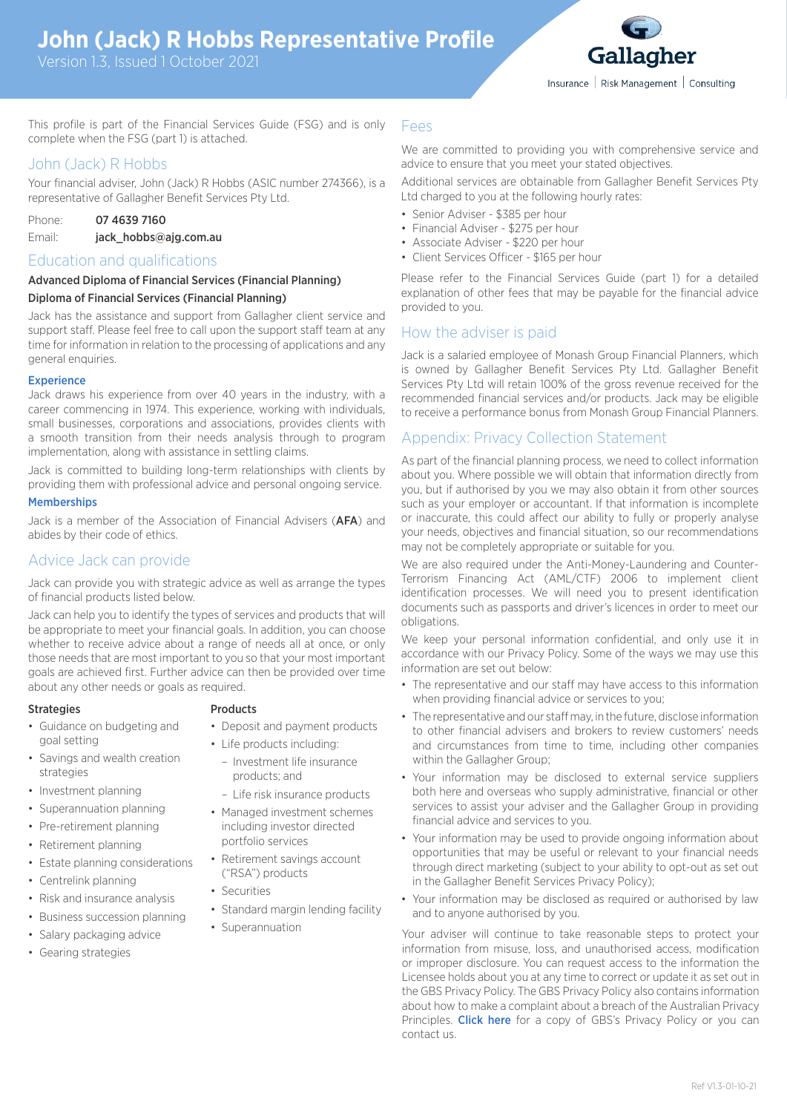# **John (Jack) R Hobbs Representative Profile**

Version 1.3, Issued 1 October 2021



This profile is part of the Financial Services Guide (FSG) and is only complete when the FSG (part 1) is attached.

# John (Jack) R Hobbs

Your financial adviser, John (Jack) R Hobbs (ASIC number 274366), is a representative of Gallagher Benefit Services Pty Ltd.

| Phone: | 07 4639 7160          |
|--------|-----------------------|
| Email: | jack_hobbs@ajg.com.au |

# Education and qualifications

### Advanced Diploma of Financial Services (Financial Planning) Diploma of Financial Services (Financial Planning)

Jack has the assistance and support from Gallagher client service and support staff. Please feel free to call upon the support staff team at any time for information in relation to the processing of applications and any general enquiries.

# **Experience**

Jack draws his experience from over 40 years in the industry, with a career commencing in 1974. This experience, working with individuals, small businesses, corporations and associations, provides clients with a smooth transition from their needs analysis through to program implementation, along with assistance in settling claims.

Jack is committed to building long-term relationships with clients by providing them with professional advice and personal ongoing service.

### **Memberships**

Jack is a member of the Association of Financial Advisers (AFA) and abides by their code of ethics.

# Advice Jack can provide

Jack can provide you with strategic advice as well as arrange the types of financial products listed below.

Jack can help you to identify the types of services and products that will be appropriate to meet your financial goals. In addition, you can choose whether to receive advice about a range of needs all at once, or only those needs that are most important to you so that your most important goals are achieved first. Further advice can then be provided over time about any other needs or goals as required.

### Strategies **Products**

### • Guidance on budgeting and goal setting

- Savings and wealth creation strategies
- Investment planning
- Superannuation planning
- Pre-retirement planning
- Retirement planning
- Estate planning considerations
- Centrelink planning
- Risk and insurance analysis
- Business succession planning
- Salary packaging advice
- Gearing strategies

- Deposit and payment products
- Life products including:
	- Investment life insurance products; and
	- Life risk insurance products
- Managed investment schemes including investor directed portfolio services
- Retirement savings account ("RSA") products
- Securities
- Standard margin lending facility
- Superannuation

### Fees

We are committed to providing you with comprehensive service and advice to ensure that you meet your stated objectives.

Additional services are obtainable from Gallagher Benefit Services Pty Ltd charged to you at the following hourly rates:

- Senior Adviser \$385 per hour
- Financial Adviser \$275 per hour
- Associate Adviser \$220 per hour
- Client Services Officer \$165 per hour

Please refer to the Financial Services Guide (part 1) for a detailed explanation of other fees that may be payable for the financial advice provided to you.

# How the adviser is paid

Jack is a salaried employee of Monash Group Financial Planners, which is owned by Gallagher Benefit Services Pty Ltd. Gallagher Benefit Services Pty Ltd will retain 100% of the gross revenue received for the recommended financial services and/or products. Jack may be eligible to receive a performance bonus from Monash Group Financial Planners.

# Appendix: Privacy Collection Statement

As part of the financial planning process, we need to collect information about you. Where possible we will obtain that information directly from you, but if authorised by you we may also obtain it from other sources such as your employer or accountant. If that information is incomplete or inaccurate, this could affect our ability to fully or properly analyse your needs, objectives and financial situation, so our recommendations may not be completely appropriate or suitable for you.

We are also required under the Anti-Money-Laundering and Counter-Terrorism Financing Act (AML/CTF) 2006 to implement client identification processes. We will need you to present identification documents such as passports and driver's licences in order to meet our obligations.

We keep your personal information confidential, and only use it in accordance with our Privacy Policy. Some of the ways we may use this information are set out below:

- The representative and our staff may have access to this information when providing financial advice or services to you;
- The representative and our staff may, in the future, disclose information to other financial advisers and brokers to review customers' needs and circumstances from time to time, including other companies within the Gallagher Group;
- Your information may be disclosed to external service suppliers both here and overseas who supply administrative, financial or other services to assist your adviser and the Gallagher Group in providing financial advice and services to you.
- Your information may be used to provide ongoing information about opportunities that may be useful or relevant to your financial needs through direct marketing (subject to your ability to opt-out as set out in the Gallagher Benefit Services Privacy Policy);
- Your information may be disclosed as required or authorised by law and to anyone authorised by you.

Your adviser will continue to take reasonable steps to protect your information from misuse, loss, and unauthorised access, modification or improper disclosure. You can request access to the information the Licensee holds about you at any time to correct or update it as set out in the GBS Privacy Policy. The GBS Privacy Policy also contains information about how to make a complaint about a breach of the Australian Privacy Principles. [Click here](https://gallagherbenefits.s3-ap-southeast-2.amazonaws.com/2018/12/gbsau_privacy_policy.pdf) for a copy of GBS's Privacy Policy or you can contact us.